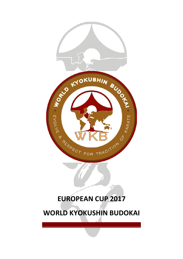

# **EUROPEAN CUP 2017**

**WORLD KYOKUSHIN BUDOKAI** 

 $\overline{\mathcal{L}}$  , and the set of the set of the set of the set of the set of the set of the set of the set of the set of the set of the set of the set of the set of the set of the set of the set of the set of the set of the s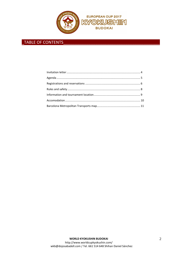

# \_TABLE OF CONTENTS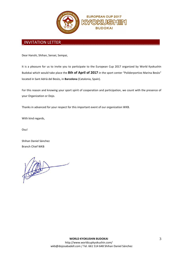

# INVITATION LETTER

Dear Hanshi, Shihan, Sensei, Sempai,

It is a pleasure for us to invite you to participate to the European Cup 2017 organized by World Kyokushin Budokai which would take place the **8th of April of 2017** in the sport center "Poliderportivo Marina Besòs" located in Sant Adrià del Besòs, in **Barcelona** (Catalonia, Spain).

For this reason and knowing your sport spirit of cooperation and participation, we count with the presence of your Organization or Dojo.

Thanks in advanced for your respect for this important event of our organization WKB.

With kind regards,

Osu!

Shihan Daniel Sánchez Branch Chief WKB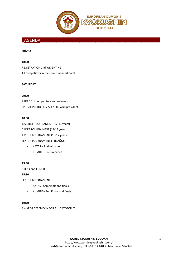

# \_AGENDA\_\_\_\_\_\_\_\_\_\_\_\_\_\_\_\_\_\_\_\_\_\_\_\_\_\_\_\_\_\_\_\_\_\_\_\_\_\_\_\_\_\_\_\_\_\_\_\_\_\_\_\_

#### **FRIDAY**

#### **18:00**

REGISTRATION and WEIGHTING All competitors in the recommended hotel

#### **SATURDAY**

#### **09:00**

PARADE of competitors and referees HANSHI PEDRO ROIZ SPEACH, WKB president

#### **10:00**

JUVENILE TOURNAMENT (12-13 years) CADET TOURNAMENT (14-15 years) JUNIOR TOURNAMENT (16-17 years) SENIOR TOURNAMENT (+18 AÑOS)

- KATAS Preliminaries
- KUMITE Preliminaries

#### **13:30**

BREAK and LUNCH

**15:30** 

SENIOR TOURNAMENT

- KATAS Semifinals and finals
- KUMITE Semifinals and finals

#### **19:30**

AWARDS CEREMONY FOR ALL CATEGORIES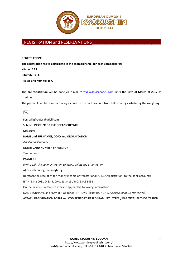

# REGISTRATION and RESEREVATIONS

#### **REGISTRATIONS**

**The registration fee to participate in the championship, for each competitor is:** 

- **Katas: 35 €.**
- **Kumite: 35 €.**
- **Katas and Kumite: 45 €.**

The **pre-registration** will be done via e-mail to wkb@dojosabadell.com, until the **10th of March of 2017** as maximum.

The payment can be done by money income on the bank account from below, or by cash during the weighting.

 $\boxtimes$ For: wkb@dojosabadell.com Subject: **INSCRIPCIÓN EUROPEAN CUP WKB** Message: **NAME and SURNAMES, DOJO and ORGANIZATION**  *Xxx Xxxxxx Xxxxxxxx* **DNI/ID CARD NUMBER or PASSPORT** *X-xxxxxxxx-X* **PAYMENT**  *(Write only the payment option selected, delete the other option)*  A) By cash during the weighting. B) Attach the receipt of the money income or transfer of *XX* € (35€/registration) to the bank account:: IBAN: ES42 0081 0433 5100 0113 3415 / BIC: BSAB ESBB On the payment reference it has to appear the following information: NAME SURNAME and NUMBER OF REGISTRATIONS (*Example: RUT BLAZQUEZ 20 REGISTRATIONS*) **ATTACH REGISTRATION FORM and COMPETITOR'S RESPONSABILITY LETTER / PARENTAL AUTHORIZATION**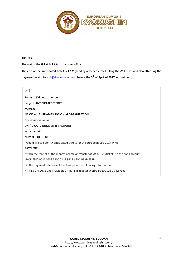

#### **TICKETS**

The cost of the **ticket** is **12 €** in the ticket office.

The cost of the **anticipated ticket** is **12 €** (sending attached e-mail, filling the *XXX* fields and also attaching the payment receipt to wkb@dojosabadell.com before the **5 th of April of 2017** as maximum).

#### $\boxtimes$

For: wkb@dojosabadell.com

Subject: **ANTICIPATED TICKET**

Message:

#### **NAME and SURNAMES, DOJO and ORGANIZATION**

*Xxx Xxxxxx Xxxxxxxx*

**DNI/ID CARD NUMBER or PASSPORT**

*X-xxxxxxxx-X* 

#### **NUMBER OF TICKETS**

I would like to book *XX* anticipated tickets for the European Cup 2017 WKB.

#### **PAYMENT**

Attach the receipt of the money income or transfer of *XX* € (12€/ticket) to the bank account:

IBAN: ES42 0081 0433 5100 0113 3415 / BIC: BSAB ESBB

On the payment reference it has to appear the following information:

NAME SURNAME and NUMBER OF TICKETS (*Example: RUT BLAZQUEZ 20 TICKETS*)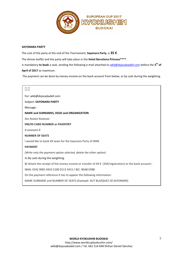

#### **SAYONARA PARTY**

The cost of the party at the end of the Tournament, **Sayonara Party**, is **35 €**.

The dinner-buffet and the party will take place in the **Hotel Barcelona Princess\*\*\*\***.

Is mandatory **to book** a seat, sending the following e-mail attached to wkb@dojosabadell.com before the **5 th of April of 2017** as maximum.

The payment can be done by money income on the bank account from below, or by cash during the weighting.

| For: wkb@dojosabadell.com                                                                                                |
|--------------------------------------------------------------------------------------------------------------------------|
| Subject: SAYONARA PARTY                                                                                                  |
| Message:                                                                                                                 |
| NAME and SURNAMES, DOJO and ORGANIZATION                                                                                 |
| Xxx Xxxxxx Xxxxxxxx                                                                                                      |
| DNI/ID CARD NUMBER or PASSPORT                                                                                           |
| X-xxxxxxxx-X                                                                                                             |
| <b>NUMBER OF SEATS</b>                                                                                                   |
| I would like to book XX seats for the Sayonara Party of WKB.                                                             |
| <b>PAYMENT</b>                                                                                                           |
| (Write only the payment option selected, delete the other option)                                                        |
| A) By cash during the weighting.                                                                                         |
| B) Attach the receipt of the money income or transfer of $XX \in (35\epsilon/\text{registration})$ to the bank account:: |
| IBAN: ES42 0081 0433 5100 0113 3415 / BIC: BSAB ESBB                                                                     |
| On the payment reference it has to appear the following information:                                                     |
| NAME SURNAME and NUMBER OF SEATS (Example: RUT BLAZQUEZ 20 SAYONARA)                                                     |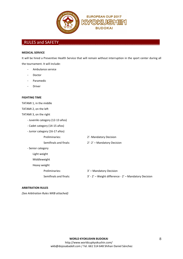

# RULES and SAFETY

#### **MEDICAL SERVICE**

It will be hired a Preventive Health Service that will remain without interruption in the sport center during all the tournament. It will include:

- Ambulance service
- Doctor
- Paramedic
- **Driver**

#### **FIGHTING TIME**

TATAMI 1, in the middle

TATAMI 2, on the left

TATAMI 3, on the right

- Juvenile category (12-13 años)
- Cadet category (14-15 años)
- Junior category (16-17 años)
- Preliminaries: 2'- Mandatory Decision Semifinals and finals: <br> 2'-2' – Mandatory Decision - Senior category Light weight Middleweight Heavy weight Preliminaries: 3' – Mandatory Decision Semifinals and finals: 3' - 2' – Weight difference - 2' – Mandatory Decision

#### **ARBITRATION RULES**

*(See Arbitration Rules WKB attached)*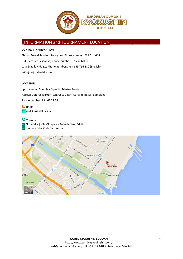

# INFORMATION and TOURNAMENT LOCATION

#### **CONTACT INFORMATION**

Shihan Daniel Sánchez Rodríguez, Phone number: 661 514 648 Rut Blázquez Casanova, Phone number: 617 486 099 Laia Graells Hidalgo, Phone number:. +34 655 756 380 (English) wkb@dojosabadell.com

#### **LOCATION**

R1 Sant Adrià del Besòs

Sport center: **Complex Esportiu Marina Besòs**  Adress: Dolores Ibarruri, s/n, 08930 Sant Adrià de Besòs, Barcelona Phone number: 934 62 22 54 Renfe

**Tranvía** T4 Ciutadella | Vila Olímpica - Esció de Sant Adrià T6 Glòries - Estació de Sant Adrià

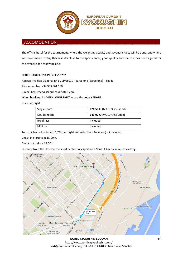

### ACCOMODATION

The official hotel for the tournament, where the weighting activity and Sayonara Party will be done, and where we recommend to stay (because it's close to the sport center, good quality and the cost has been agreed for the event) is the following one:

#### **HOTEL BARCELONA PRINCESS \*\*\*\***

Adress: Avenida Diagonal nº 1 . CP 08019 - Barcelona (Barcelona) – Spain

Phone number: +34 933 561 000

E-mail: bcn.reservas@princess-hotels.com

#### **When booking, it's VERY IMPORTANT to use the code KARATE.**

#### Price per night

| Single room      | 126,50 € (IVA 10% included) |
|------------------|-----------------------------|
| Double room      | 143,00 € (IVA 10% included) |
| <b>Breakfast</b> | included                    |
| Mini bar         | included                    |

Touristic tax not included: 1,21€ per night and older than 16 years (IVA included)

Check-in starting at 15:00 h.

Check out before 12:00 h.

Distance from the Hotel to the sport center Poliesportiu La Mina: 1 km, 12 minutes walking.